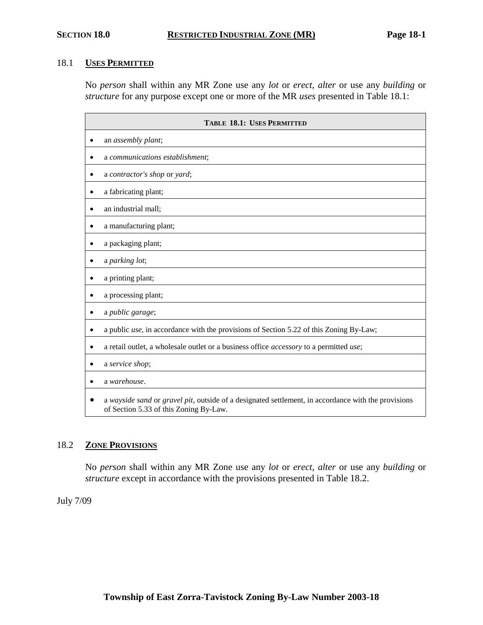#### 18.1 **USES PERMITTED**

No *person* shall within any MR Zone use any *lot* or *erect, alter* or use any *building* or *structure* for any purpose except one or more of the MR *uses* presented in Table 18.1:

| <b>TABLE 18.1: USES PERMITTED</b>                                                                                                             |  |  |
|-----------------------------------------------------------------------------------------------------------------------------------------------|--|--|
| an assembly plant;                                                                                                                            |  |  |
| a communications establishment;<br>٠                                                                                                          |  |  |
| a contractor's shop or yard;<br>٠                                                                                                             |  |  |
| a fabricating plant;<br>٠                                                                                                                     |  |  |
| an industrial mall;                                                                                                                           |  |  |
| a manufacturing plant;<br>$\bullet$                                                                                                           |  |  |
| a packaging plant;<br>٠                                                                                                                       |  |  |
| a parking lot;                                                                                                                                |  |  |
| a printing plant;                                                                                                                             |  |  |
| a processing plant;                                                                                                                           |  |  |
| a public garage;<br>$\bullet$                                                                                                                 |  |  |
| a public use, in accordance with the provisions of Section 5.22 of this Zoning By-Law;<br>٠                                                   |  |  |
| a retail outlet, a wholesale outlet or a business office accessory to a permitted use;                                                        |  |  |
| a service shop;                                                                                                                               |  |  |
| a warehouse.                                                                                                                                  |  |  |
| a wayside sand or gravel pit, outside of a designated settlement, in accordance with the provisions<br>of Section 5.33 of this Zoning By-Law. |  |  |

## 18.2 **ZONE PROVISIONS**

No *person* shall within any MR Zone use any *lot* or *erect, alter* or use any *building* or *structure* except in accordance with the provisions presented in Table 18.2.

July 7/09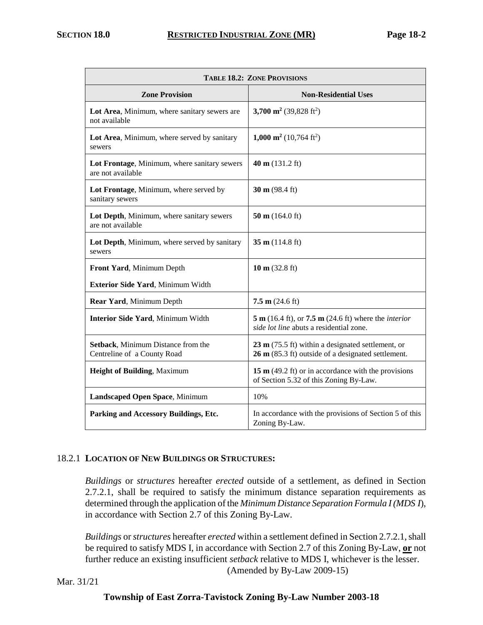| <b>TABLE 18.2: ZONE PROVISIONS</b>                                |                                                                                                                             |  |
|-------------------------------------------------------------------|-----------------------------------------------------------------------------------------------------------------------------|--|
| <b>Zone Provision</b>                                             | <b>Non-Residential Uses</b>                                                                                                 |  |
| Lot Area, Minimum, where sanitary sewers are<br>not available     | 3,700 m <sup>2</sup> (39,828 ft <sup>2</sup> )                                                                              |  |
| Lot Area, Minimum, where served by sanitary<br>sewers             | 1,000 m <sup>2</sup> (10,764 ft <sup>2</sup> )                                                                              |  |
| Lot Frontage, Minimum, where sanitary sewers<br>are not available | 40 m $(131.2 \text{ ft})$                                                                                                   |  |
| Lot Frontage, Minimum, where served by<br>sanitary sewers         | 30 m $(98.4 \text{ ft})$                                                                                                    |  |
| Lot Depth, Minimum, where sanitary sewers<br>are not available    | 50 m $(164.0 \text{ ft})$                                                                                                   |  |
| Lot Depth, Minimum, where served by sanitary<br>sewers            | 35 m $(114.8 \text{ ft})$                                                                                                   |  |
| Front Yard, Minimum Depth                                         | 10 m $(32.8 \text{ ft})$                                                                                                    |  |
| Exterior Side Yard, Minimum Width                                 |                                                                                                                             |  |
| Rear Yard, Minimum Depth                                          | $7.5 \text{ m}$ (24.6 ft)                                                                                                   |  |
| Interior Side Yard, Minimum Width                                 | 5 m (16.4 ft), or 7.5 m (24.6 ft) where the <i>interior</i><br>side lot line abuts a residential zone.                      |  |
| Setback, Minimum Distance from the<br>Centreline of a County Road | $23 \text{ m}$ (75.5 ft) within a designated settlement, or<br>$26 \text{ m}$ (85.3 ft) outside of a designated settlement. |  |
| <b>Height of Building, Maximum</b>                                | 15 $m$ (49.2 ft) or in accordance with the provisions<br>of Section 5.32 of this Zoning By-Law.                             |  |
| Landscaped Open Space, Minimum                                    | 10%                                                                                                                         |  |
| Parking and Accessory Buildings, Etc.                             | In accordance with the provisions of Section 5 of this<br>Zoning By-Law.                                                    |  |

## 18.2.1 **LOCATION OF NEW BUILDINGS OR STRUCTURES:**

*Buildings* or *structures* hereafter *erected* outside of a settlement, as defined in Section 2.7.2.1, shall be required to satisfy the minimum distance separation requirements as determined through the application of the *Minimum Distance Separation Formula I (MDS I*), in accordance with Section 2.7 of this Zoning By-Law.

*Buildings* or *structures* hereafter *erected* within a settlement defined in Section 2.7.2.1, shall be required to satisfy MDS I, in accordance with Section 2.7 of this Zoning By-Law, **or** not further reduce an existing insufficient *setback* relative to MDS I, whichever is the lesser. (Amended by By-Law 2009-15)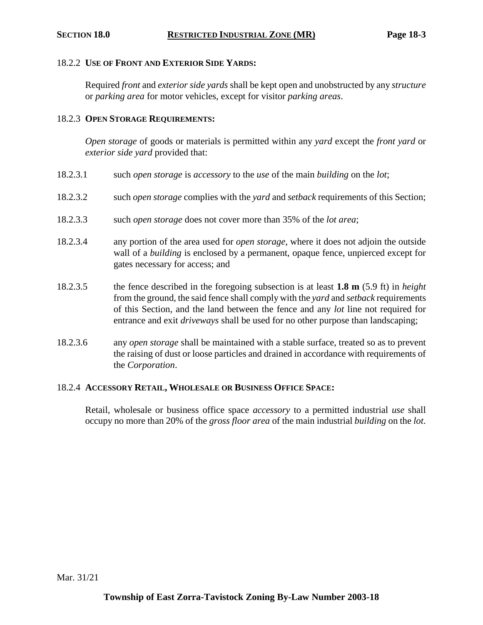#### 18.2.2 **USE OF FRONT AND EXTERIOR SIDE YARDS:**

Required *front* and *exterior side yards* shall be kept open and unobstructed by any *structure* or *parking area* for motor vehicles, except for visitor *parking areas*.

#### 18.2.3 **OPEN STORAGE REQUIREMENTS:**

*Open storage* of goods or materials is permitted within any *yard* except the *front yard* or *exterior side yard* provided that:

- 18.2.3.1 such *open storage* is *accessory* to the *use* of the main *building* on the *lot*;
- 18.2.3.2 such *open storage* complies with the *yard* and *setback* requirements of this Section;
- 18.2.3.3 such *open storage* does not cover more than 35% of the *lot area*;
- 18.2.3.4 any portion of the area used for *open storage*, where it does not adjoin the outside wall of a *building* is enclosed by a permanent, opaque fence, unpierced except for gates necessary for access; and
- 18.2.3.5 the fence described in the foregoing subsection is at least **1.8 m** (5.9 ft) in *height* from the ground, the said fence shall comply with the *yard* and *setback* requirements of this Section, and the land between the fence and any *lot* line not required for entrance and exit *driveways* shall be used for no other purpose than landscaping;
- 18.2.3.6 any *open storage* shall be maintained with a stable surface, treated so as to prevent the raising of dust or loose particles and drained in accordance with requirements of the *Corporation*.

#### 18.2.4 **ACCESSORY RETAIL, WHOLESALE OR BUSINESS OFFICE SPACE:**

Retail, wholesale or business office space *accessory* to a permitted industrial *use* shall occupy no more than 20% of the *gross floor area* of the main industrial *building* on the *lot*.